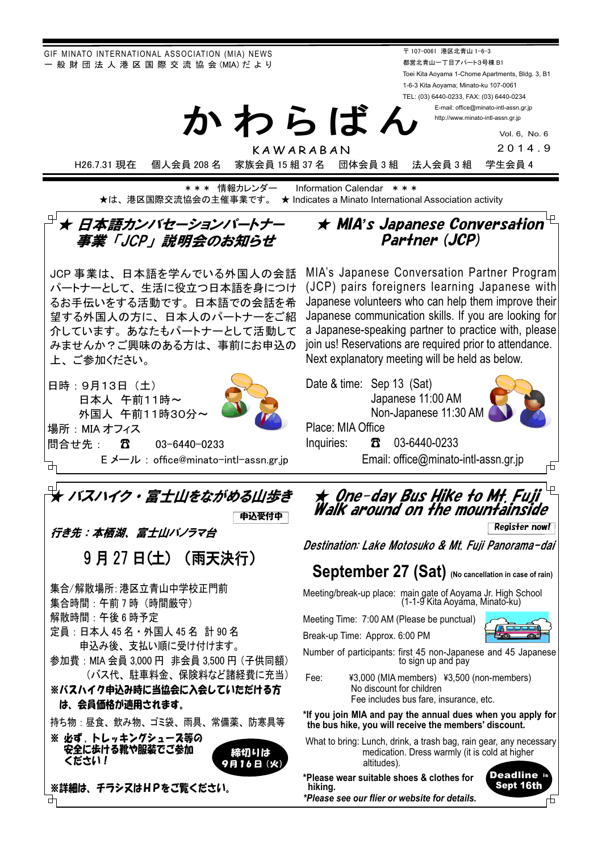GIF MINATO INTERNATIONAL ASSOCIATION (MIA) NEWS - 般 財 団 法 人 港 区 国 際 交 流 協 会 (MIA) だ よ り

〒 107-0061 港区北青山 1-6-3 都営北青山一丁目アパート3号棟 B1 Toei Kita Aoyama 1-Chome Apartments, Bldg. 3, B1 1-6-3 Kita Aoyama; Minato-ku 107-0061 TEL: (03) 6440-0233, FAX: (03) 6440-0234

E-mail: office@minato-intl-assn.gr.jp http://www.minato-intl-assn.gr.jp

> Vol. 6, No. 6 2014.9

KAWARABAN

H26.7.31 現在 個人会員 208 名 家族会員 15 組 37 名 団体会員 3 組 法人会員 3 組 学生会員 4

**\*\*\* 情報カレンダー Information Calendar \*\*\*** ★は、港区国際交流協会の主催事業です。 ★ Indicates a Minato International Association activity

かわらばん

### $^{\text{\tiny{\textregistered}}}$ ★ 日本語カンバセーションパートナー 事業「JCP」説明会のお知らせ  $\overline{a}$   $\overline{a}$

JCP 事業は、日本語を学んでいる外国人の会話 パートナーとして、生活に役立つ日本語を身につけ るお手伝いをする活動です。日本語での会話を希 望する外国人の方に、日本人のパートナーをご紹 介しています。あなたもパートナーとして活動して みませんか?ご興味のある方は、事前にお申込の 上、ご参加ください。

日時: 9月13日 (土) 日本人 午前11時~ 外国人 午前11時30分~ 場所: MIA オフィス

ၥྜ䛫ඛ 䠖䖲㻌㻌㻌㻌㻌㻌㻌㻌㻜㻟㻙㻢㻠㻠㻜㻙㻜㻞㻟㻟㻌㻌

㻌 㻌㻌㻌㻌㻌㻱 䝯䞊䝹 䠖㻌㼛㼒䟺㻌㼏㼑㻬㼙㼕㼚㼍㼠㼛㻙㼕㼚㼠㼘㻙㼍㼟㼟㼚㻚㼓㼞㻚㼖㼜



 $\star$  Qne-day Bus Hike to Mt. Fuji Walk around on the mountainside

★ MIA's Japanese Conversation  $^{\mathbb{L}}$ Partner (JCP)

MIA's Japanese Conversation Partner Program

Register now!

₼

Destination: Lake Motosuko & Mt. Fuii Panorama-dai

## **September 27 (Sat) (No cancellation in case of rain)**

Meeting/break-up place: main gate of Aoyama Jr. High School (1-1-9 Kita Aoyama, Minato-ku)

Meeting Time: 7:00 AM (Please be punctual)

Break-up Time: Approx. 6:00 PM



Number of participants: first 45 non-Japanese and 45 Japanese to sign up and pay

Fee: ¥3,000 (MIA members) ¥3,500 (non-members) No discount for children Fee includes bus fare, insurance, etc.

**\*If you join MIA and pay the annual dues when you apply for the bus hike, you will receive the members' discount.**

What to bring: Lunch, drink, a trash bag, rain gear, any necessary medication. Dress warmly (it is cold at higher altitudes).

**\*Please wear suitable shoes & clothes for hiking.**  *\*Please see our flier or website for details.*